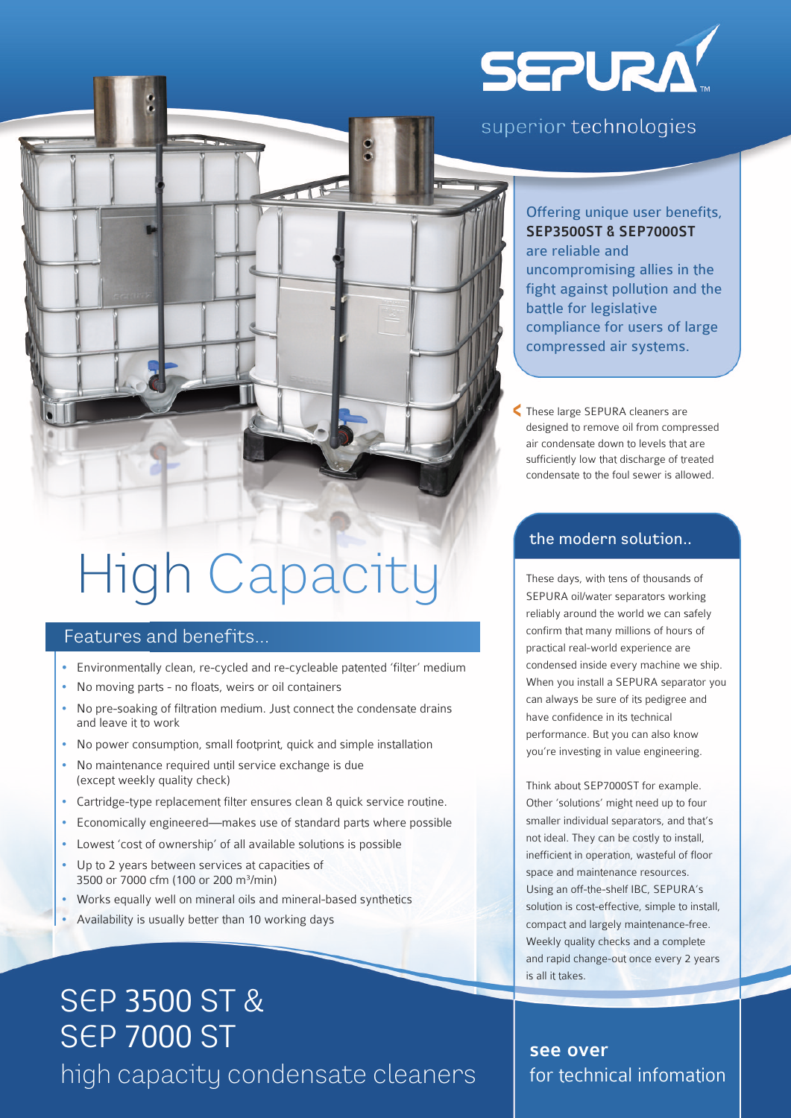# **SEPURA!**

### superior technologies

### Offering unique user benefits, SEP3500ST & SEP7000ST are reliable and uncompromising allies in the fight against pollution and the battle for legislative compliance for users of large compressed air systems.

These large SEPURA cleaners are designed to remove oil from compressed air condensate down to levels that are sufficiently low that discharge of treated condensate to the foul sewer is allowed.  $\overline{\phantom{0}}$ 

#### the modern solution..

These days, with tens of thousands of SEPURA oil/water separators working reliably around the world we can safely confirm that many millions of hours of practical real-world experience are condensed inside every machine we ship. When you install a SEPURA separator you can always be sure of its pedigree and have confidence in its technical performance. But you can also know you're investing in value engineering.

Think about SEP7000ST for example. Other 'solutions' might need up to four smaller individual separators, and that's not ideal. They can be costly to install, inefficient in operation, wasteful of floor space and maintenance resources. Using an off-the-shelf IBC, SEPURA's solution is cost-effective, simple to install, compact and largely maintenance-free. Weekly quality checks and a complete and rapid change-out once every 2 years is all it takes.

### see over for technical infomation

# High Capacity

### Features and benefits...

- Environmentally clean, re-cycled and re-cycleable patented 'filter' medium
- No moving parts no floats, weirs or oil containers
- No pre-soaking of filtration medium. Just connect the condensate drains and leave it to work
- No power consumption, small footprint, quick and simple installation
- No maintenance required until service exchange is due (except weekly quality check)
- Cartridge-type replacement filter ensures clean & quick service routine.
- Economically engineered—makes use of standard parts where possible
- Lowest 'cost of ownership' of all available solutions is possible
- Up to 2 years between services at capacities of 3500 or 7000 cfm (100 or 200 m³/min)
- Works equally well on mineral oils and mineral-based synthetics
- Availability is usually better than 10 working days

## SEP 3500 ST & SEP 7000 ST high capacity condensate cleaners